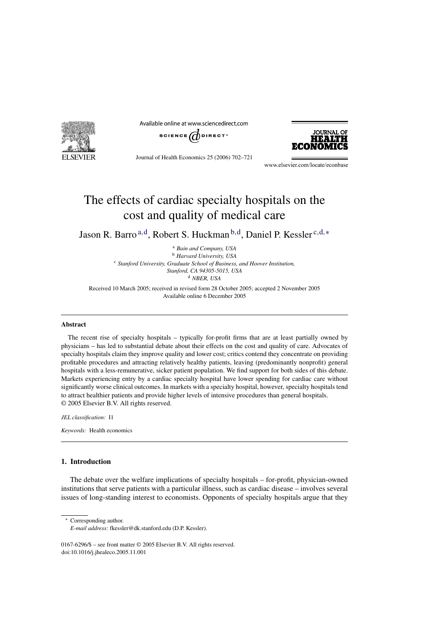

Available online at www.sciencedirect.com



Journal of Health Economics 25 (2006) 702–721



www.elsevier.com/locate/econbase

# The effects of cardiac specialty hospitals on the cost and quality of medical care

Jason R. Barro <sup>a</sup>*,*d, Robert S. Huckman <sup>b</sup>*,*d, Daniel P. Kessler <sup>c</sup>*,*d*,*<sup>∗</sup>

<sup>a</sup> *Bain and Company, USA* <sup>b</sup> *Harvard University, USA* <sup>c</sup> *Stanford University, Graduate School of Business, and Hoover Institution, Stanford, CA 94305-5015, USA* <sup>d</sup> *NBER, USA*

Received 10 March 2005; received in revised form 28 October 2005; accepted 2 November 2005 Available online 6 December 2005

#### **Abstract**

The recent rise of specialty hospitals – typically for-profit firms that are at least partially owned by physicians – has led to substantial debate about their effects on the cost and quality of care. Advocates of specialty hospitals claim they improve quality and lower cost; critics contend they concentrate on providing profitable procedures and attracting relatively healthy patients, leaving (predominantly nonprofit) general hospitals with a less-remunerative, sicker patient population. We find support for both sides of this debate. Markets experiencing entry by a cardiac specialty hospital have lower spending for cardiac care without significantly worse clinical outcomes. In markets with a specialty hospital, however, specialty hospitals tend to attract healthier patients and provide higher levels of intensive procedures than general hospitals. © 2005 Elsevier B.V. All rights reserved.

*JEL classification:* I1

*Keywords:* Health economics

# **1. Introduction**

The debate over the welfare implications of specialty hospitals – for-profit, physician-owned institutions that serve patients with a particular illness, such as cardiac disease – involves several issues of long-standing interest to economists. Opponents of specialty hospitals argue that they

∗ Corresponding author. *E-mail address:* fkessler@dk.stanford.edu (D.P. Kessler).

0167-6296/\$ – see front matter © 2005 Elsevier B.V. All rights reserved. doi:10.1016/j.jhealeco.2005.11.001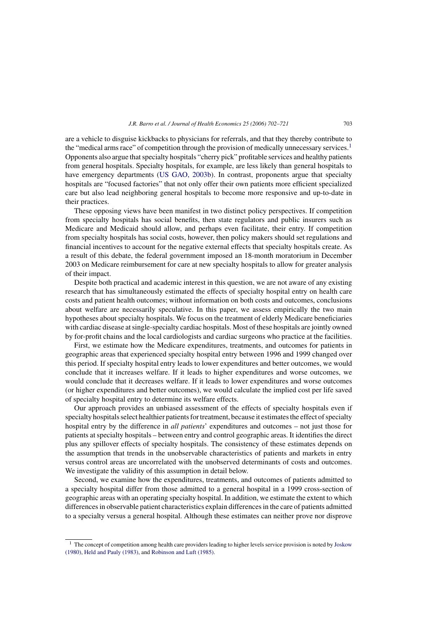are a vehicle to disguise kickbacks to physicians for referrals, and that they thereby contribute to the "medical arms race" of competition through the provision of medically unnecessary services.<sup>1</sup> Opponents also argue that specialty hospitals "cherry pick" profitable services and healthy patients from general hospitals. Specialty hospitals, for example, are less likely than general hospitals to have emergency departments ([US GAO, 2003b\).](#page-19-0) In contrast, proponents argue that specialty hospitals are "focused factories" that not only offer their own patients more efficient specialized care but also lead neighboring general hospitals to become more responsive and up-to-date in their practices.

These opposing views have been manifest in two distinct policy perspectives. If competition from specialty hospitals has social benefits, then state regulators and public insurers such as Medicare and Medicaid should allow, and perhaps even facilitate, their entry. If competition from specialty hospitals has social costs, however, then policy makers should set regulations and financial incentives to account for the negative external effects that specialty hospitals create. As a result of this debate, the federal government imposed an 18-month moratorium in December 2003 on Medicare reimbursement for care at new specialty hospitals to allow for greater analysis of their impact.

Despite both practical and academic interest in this question, we are not aware of any existing research that has simultaneously estimated the effects of specialty hospital entry on health care costs and patient health outcomes; without information on both costs and outcomes, conclusions about welfare are necessarily speculative. In this paper, we assess empirically the two main hypotheses about specialty hospitals. We focus on the treatment of elderly Medicare beneficiaries with cardiac disease at single-specialty cardiac hospitals. Most of these hospitals are jointly owned by for-profit chains and the local cardiologists and cardiac surgeons who practice at the facilities.

First, we estimate how the Medicare expenditures, treatments, and outcomes for patients in geographic areas that experienced specialty hospital entry between 1996 and 1999 changed over this period. If specialty hospital entry leads to lower expenditures and better outcomes, we would conclude that it increases welfare. If it leads to higher expenditures and worse outcomes, we would conclude that it decreases welfare. If it leads to lower expenditures and worse outcomes (or higher expenditures and better outcomes), we would calculate the implied cost per life saved of specialty hospital entry to determine its welfare effects.

Our approach provides an unbiased assessment of the effects of specialty hospitals even if specialty hospitals select healthier patients for treatment, because it estimates the effect of specialty hospital entry by the difference in *all patients*' expenditures and outcomes – not just those for patients at specialty hospitals – between entry and control geographic areas. It identifies the direct plus any spillover effects of specialty hospitals. The consistency of these estimates depends on the assumption that trends in the unobservable characteristics of patients and markets in entry versus control areas are uncorrelated with the unobserved determinants of costs and outcomes. We investigate the validity of this assumption in detail below.

Second, we examine how the expenditures, treatments, and outcomes of patients admitted to a specialty hospital differ from those admitted to a general hospital in a 1999 cross-section of geographic areas with an operating specialty hospital. In addition, we estimate the extent to which differences in observable patient characteristics explain differences in the care of patients admitted to a specialty versus a general hospital. Although these estimates can neither prove nor disprove

<sup>&</sup>lt;sup>1</sup> The concept of competition among health care providers leading to higher levels service provision is noted by [Joskow](#page-18-0) [\(1980\),](#page-18-0) [Held and Pauly \(1983\), a](#page-18-0)nd [Robinson and Luft \(1985\).](#page-18-0)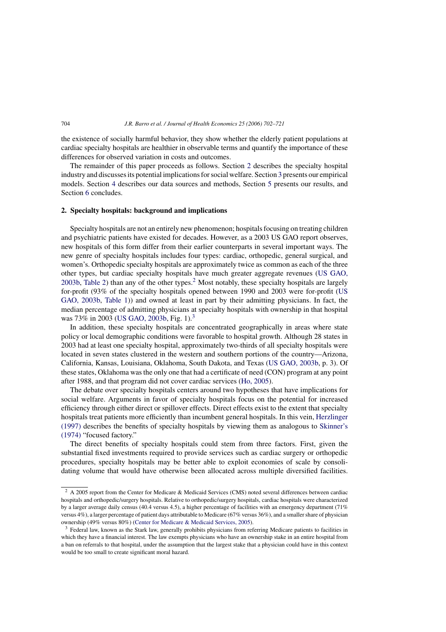the existence of socially harmful behavior, they show whether the elderly patient populations at cardiac specialty hospitals are healthier in observable terms and quantify the importance of these differences for observed variation in costs and outcomes.

The remainder of this paper proceeds as follows. Section 2 describes the specialty hospital industry and discusses its potential implications for social welfare. Section [3](#page-4-0) presents our empirical models. Section [4](#page-6-0) describes our data sources and methods, Section [5](#page-10-0) presents our results, and Section [6](#page-15-0) concludes.

# **2. Specialty hospitals: background and implications**

Specialty hospitals are not an entirely new phenomenon; hospitals focusing on treating children and psychiatric patients have existed for decades. However, as a 2003 US GAO report observes, new hospitals of this form differ from their earlier counterparts in several important ways. The new genre of specialty hospitals includes four types: cardiac, orthopedic, general surgical, and women's. Orthopedic specialty hospitals are approximately twice as common as each of the three other types, but cardiac specialty hospitals have much greater aggregate revenues [\(US GAO,](#page-19-0) [2003b,](#page-19-0) [Table 2\)](#page-11-0) than any of the other types.<sup>2</sup> Most notably, these specialty hospitals are largely for-profit (93% of the specialty hospitals opened between 1990 and 2003 were for-profit [\(US](#page-19-0) [GAO, 2003b,](#page-19-0) [Table 1\)\)](#page-9-0) and owned at least in part by their admitting physicians. In fact, the median percentage of admitting physicians at specialty hospitals with ownership in that hospital was 73% in 2003 [\(US GAO, 2003b,](#page-19-0) Fig. 1).<sup>3</sup>

In addition, these specialty hospitals are concentrated geographically in areas where state policy or local demographic conditions were favorable to hospital growth. Although 28 states in 2003 had at least one specialty hospital, approximately two-thirds of all specialty hospitals were located in seven states clustered in the western and southern portions of the country—Arizona, California, Kansas, Louisiana, Oklahoma, South Dakota, and Texas [\(US GAO, 2003b, p](#page-19-0). 3). Of these states, Oklahoma was the only one that had a certificate of need (CON) program at any point after 1988, and that program did not cover cardiac services ([Ho, 2005\).](#page-18-0)

The debate over specialty hospitals centers around two hypotheses that have implications for social welfare. Arguments in favor of specialty hospitals focus on the potential for increased efficiency through either direct or spillover effects. Direct effects exist to the extent that specialty hospitals treat patients more efficiently than incumbent general hospitals. In this vein, [Herzlinger](#page-18-0) [\(1997\)](#page-18-0) describes the benefits of specialty hospitals by viewing them as analogous to [Skinner's](#page-19-0) [\(1974\)](#page-19-0) "focused factory."

The direct benefits of specialty hospitals could stem from three factors. First, given the substantial fixed investments required to provide services such as cardiac surgery or orthopedic procedures, specialty hospitals may be better able to exploit economies of scale by consolidating volume that would have otherwise been allocated across multiple diversified facilities.

<sup>&</sup>lt;sup>2</sup> A 2005 report from the Center for Medicare & Medicaid Services (CMS) noted several differences between cardiac hospitals and orthopedic/surgery hospitals. Relative to orthopedic/surgery hospitals, cardiac hospitals were characterized by a larger average daily census (40.4 versus 4.5), a higher percentage of facilities with an emergency department (71% versus 4%), a larger percentage of patient days attributable to Medicare (67% versus 36%), and a smaller share of physician ownership (49% versus 80%) ([Center for Medicare & Medicaid Services, 2005\).](#page-18-0)

<sup>&</sup>lt;sup>3</sup> Federal law, known as the Stark law, generally prohibits physicians from referring Medicare patients to facilities in which they have a financial interest. The law exempts physicians who have an ownership stake in an entire hospital from a ban on referrals to that hospital, under the assumption that the largest stake that a physician could have in this context would be too small to create significant moral hazard.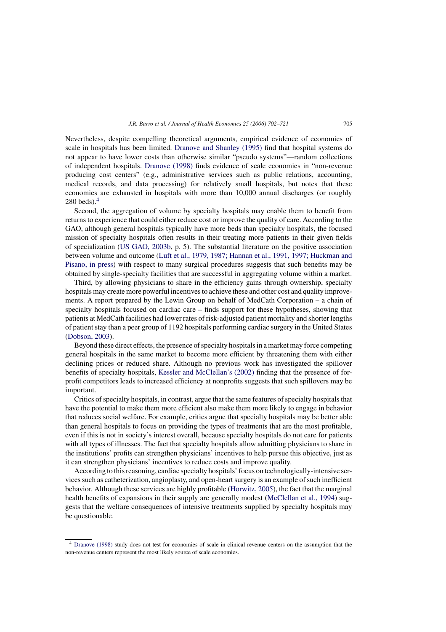Nevertheless, despite compelling theoretical arguments, empirical evidence of economies of scale in hospitals has been limited. [Dranove and Shanley \(1995\)](#page-18-0) find that hospital systems do not appear to have lower costs than otherwise similar "pseudo systems"—random collections of independent hospitals. [Dranove \(1998\)](#page-18-0) finds evidence of scale economies in "non-revenue producing cost centers" (e.g., administrative services such as public relations, accounting, medical records, and data processing) for relatively small hospitals, but notes that these economies are exhausted in hospitals with more than 10,000 annual discharges (or roughly 280 beds). $4$ 

Second, the aggregation of volume by specialty hospitals may enable them to benefit from returns to experience that could either reduce cost or improve the quality of care. According to the GAO, although general hospitals typically have more beds than specialty hospitals, the focused mission of specialty hospitals often results in their treating more patients in their given fields of specialization [\(US GAO, 2003b,](#page-19-0) p. 5). The substantial literature on the positive association between volume and outcome ([Luft et al., 1979, 1987; Hannan et al., 1991, 1997; Huckman and](#page-18-0) [Pisano, in press\)](#page-18-0) with respect to many surgical procedures suggests that such benefits may be obtained by single-specialty facilities that are successful in aggregating volume within a market.

Third, by allowing physicians to share in the efficiency gains through ownership, specialty hospitals may create more powerful incentives to achieve these and other cost and quality improvements. A report prepared by the Lewin Group on behalf of MedCath Corporation – a chain of specialty hospitals focused on cardiac care – finds support for these hypotheses, showing that patients at MedCath facilities had lower rates of risk-adjusted patient mortality and shorter lengths of patient stay than a peer group of 1192 hospitals performing cardiac surgery in the United States [\(Dobson, 2003\).](#page-18-0)

Beyond these direct effects, the presence of specialty hospitals in a market may force competing general hospitals in the same market to become more efficient by threatening them with either declining prices or reduced share. Although no previous work has investigated the spillover benefits of specialty hospitals, [Kessler and McClellan's \(2002\)](#page-18-0) finding that the presence of forprofit competitors leads to increased efficiency at nonprofits suggests that such spillovers may be important.

Critics of specialty hospitals, in contrast, argue that the same features of specialty hospitals that have the potential to make them more efficient also make them more likely to engage in behavior that reduces social welfare. For example, critics argue that specialty hospitals may be better able than general hospitals to focus on providing the types of treatments that are the most profitable, even if this is not in society's interest overall, because specialty hospitals do not care for patients with all types of illnesses. The fact that specialty hospitals allow admitting physicians to share in the institutions' profits can strengthen physicians' incentives to help pursue this objective, just as it can strengthen physicians' incentives to reduce costs and improve quality.

According to this reasoning, cardiac specialty hospitals' focus on technologically-intensive services such as catheterization, angioplasty, and open-heart surgery is an example of such inefficient behavior. Although these services are highly profitable [\(Horwitz, 2005\),](#page-18-0) the fact that the marginal health benefits of expansions in their supply are generally modest ([McClellan et al., 1994\)](#page-18-0) suggests that the welfare consequences of intensive treatments supplied by specialty hospitals may be questionable.

<sup>4</sup> [Dranove \(1998\)](#page-18-0) study does not test for economies of scale in clinical revenue centers on the assumption that the non-revenue centers represent the most likely source of scale economies.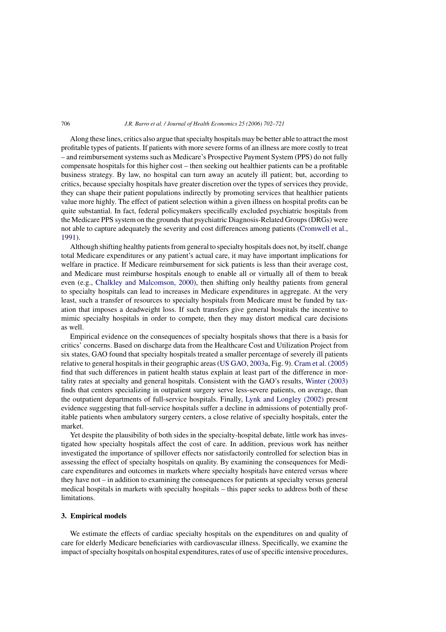<span id="page-4-0"></span>Along these lines, critics also argue that specialty hospitals may be better able to attract the most profitable types of patients. If patients with more severe forms of an illness are more costly to treat – and reimbursement systems such as Medicare's Prospective Payment System (PPS) do not fully compensate hospitals for this higher cost – then seeking out healthier patients can be a profitable business strategy. By law, no hospital can turn away an acutely ill patient; but, according to critics, because specialty hospitals have greater discretion over the types of services they provide, they can shape their patient populations indirectly by promoting services that healthier patients value more highly. The effect of patient selection within a given illness on hospital profits can be quite substantial. In fact, federal policymakers specifically excluded psychiatric hospitals from the Medicare PPS system on the grounds that psychiatric Diagnosis-Related Groups (DRGs) were not able to capture adequately the severity and cost differences among patients ([Cromwell et al.,](#page-18-0) [1991\).](#page-18-0)

Although shifting healthy patients from general to specialty hospitals does not, by itself, change total Medicare expenditures or any patient's actual care, it may have important implications for welfare in practice. If Medicare reimbursement for sick patients is less than their average cost, and Medicare must reimburse hospitals enough to enable all or virtually all of them to break even (e.g., [Chalkley and Malcomson, 2000\),](#page-18-0) then shifting only healthy patients from general to specialty hospitals can lead to increases in Medicare expenditures in aggregate. At the very least, such a transfer of resources to specialty hospitals from Medicare must be funded by taxation that imposes a deadweight loss. If such transfers give general hospitals the incentive to mimic specialty hospitals in order to compete, then they may distort medical care decisions as well.

Empirical evidence on the consequences of specialty hospitals shows that there is a basis for critics' concerns. Based on discharge data from the Healthcare Cost and Utilization Project from six states, GAO found that specialty hospitals treated a smaller percentage of severely ill patients relative to general hospitals in their geographic areas [\(US GAO, 2003a, F](#page-19-0)ig. 9). [Cram et al. \(2005\)](#page-18-0) find that such differences in patient health status explain at least part of the difference in mortality rates at specialty and general hospitals. Consistent with the GAO's results, [Winter \(2003\)](#page-19-0) finds that centers specializing in outpatient surgery serve less-severe patients, on average, than the outpatient departments of full-service hospitals. Finally, [Lynk and Longley \(2002\)](#page-18-0) present evidence suggesting that full-service hospitals suffer a decline in admissions of potentially profitable patients when ambulatory surgery centers, a close relative of specialty hospitals, enter the market.

Yet despite the plausibility of both sides in the specialty-hospital debate, little work has investigated how specialty hospitals affect the cost of care. In addition, previous work has neither investigated the importance of spillover effects nor satisfactorily controlled for selection bias in assessing the effect of specialty hospitals on quality. By examining the consequences for Medicare expenditures and outcomes in markets where specialty hospitals have entered versus where they have not – in addition to examining the consequences for patients at specialty versus general medical hospitals in markets with specialty hospitals – this paper seeks to address both of these limitations.

# **3. Empirical models**

We estimate the effects of cardiac specialty hospitals on the expenditures on and quality of care for elderly Medicare beneficiaries with cardiovascular illness. Specifically, we examine the impact of specialty hospitals on hospital expenditures, rates of use of specific intensive procedures,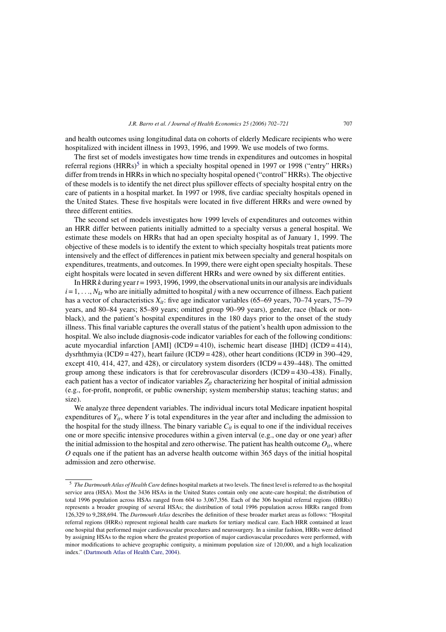and health outcomes using longitudinal data on cohorts of elderly Medicare recipients who were hospitalized with incident illness in 1993, 1996, and 1999. We use models of two forms.

The first set of models investigates how time trends in expenditures and outcomes in hospital referral regions  $(HRRs)^{5}$  in which a specialty hospital opened in 1997 or 1998 ("entry" HRRs) differ from trends in HRRs in which no specialty hospital opened ("control" HRRs). The objective of these models is to identify the net direct plus spillover effects of specialty hospital entry on the care of patients in a hospital market. In 1997 or 1998, five cardiac specialty hospitals opened in the United States. These five hospitals were located in five different HRRs and were owned by three different entities.

The second set of models investigates how 1999 levels of expenditures and outcomes within an HRR differ between patients initially admitted to a specialty versus a general hospital. We estimate these models on HRRs that had an open specialty hospital as of January 1, 1999. The objective of these models is to identify the extent to which specialty hospitals treat patients more intensively and the effect of differences in patient mix between specialty and general hospitals on expenditures, treatments, and outcomes. In 1999, there were eight open specialty hospitals. These eight hospitals were located in seven different HRRs and were owned by six different entities.

In HRR*k* during year*t* = 1993, 1996, 1999, the observational units in our analysis are individuals  $i = 1, \ldots, N_{kt}$  who are initially admitted to hospital *j* with a new occurrence of illness. Each patient has a vector of characteristics  $X_{it}$ : five age indicator variables (65–69 years, 70–74 years, 75–79 years, and 80–84 years; 85–89 years; omitted group 90–99 years), gender, race (black or nonblack), and the patient's hospital expenditures in the 180 days prior to the onset of the study illness. This final variable captures the overall status of the patient's health upon admission to the hospital. We also include diagnosis-code indicator variables for each of the following conditions: acute myocardial infarction [AMI] (ICD9 = 410), ischemic heart disease [IHD] (ICD9 = 414), dysrhthmyia (ICD9 = 427), heart failure (ICD9 = 428), other heart conditions (ICD9 in 390–429, except  $410$ ,  $414$ ,  $427$ , and  $428$ ), or circulatory system disorders (ICD9 =  $439-448$ ). The omitted group among these indicators is that for cerebrovascular disorders (ICD9 = 430–438). Finally, each patient has a vector of indicator variables  $Z_{it}$  characterizing her hospital of initial admission (e.g., for-profit, nonprofit, or public ownership; system membership status; teaching status; and size).

We analyze three dependent variables. The individual incurs total Medicare inpatient hospital expenditures of  $Y_{it}$ , where  $Y$  is total expenditures in the year after and including the admission to the hospital for the study illness. The binary variable  $C_{it}$  is equal to one if the individual receives one or more specific intensive procedures within a given interval (e.g., one day or one year) after the initial admission to the hospital and zero otherwise. The patient has health outcome  $O_{it}$ , where *O* equals one if the patient has an adverse health outcome within 365 days of the initial hospital admission and zero otherwise.

<sup>5</sup> *The Dartmouth Atlas of Health Care* defines hospital markets at two levels. The finest level is referred to as the hospital service area (HSA). Most the 3436 HSAs in the United States contain only one acute-care hospital; the distribution of total 1996 population across HSAs ranged from 604 to 3,067,356. Each of the 306 hospital referral regions (HRRs) represents a broader grouping of several HSAs; the distribution of total 1996 population across HRRs ranged from 126,329 to 9,288,694. The *Dartmouth Atlas* describes the definition of these broader market areas as follows: "Hospital referral regions (HRRs) represent regional health care markets for tertiary medical care. Each HRR contained at least one hospital that performed major cardiovascular procedures and neurosurgery. In a similar fashion, HRRs were defined by assigning HSAs to the region where the greatest proportion of major cardiovascular procedures were performed, with minor modifications to achieve geographic contiguity, a minimum population size of 120,000, and a high localization index." [\(Dartmouth Atlas of Health Care, 2004\).](#page-18-0)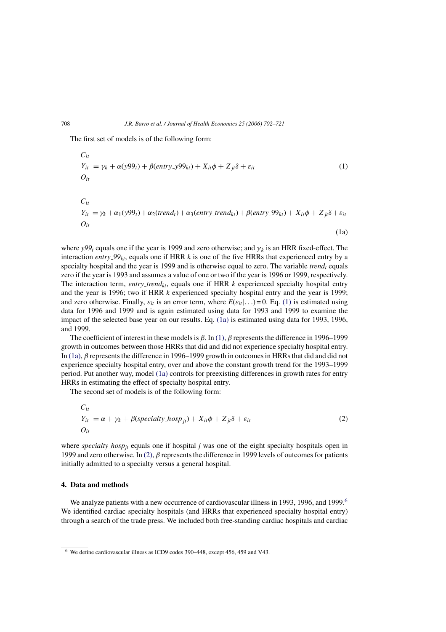<span id="page-6-0"></span>The first set of models is of the following form:

$$
C_{it}
$$
\n
$$
Y_{it} = \gamma_k + \alpha(y99_t) + \beta(entry_y99_{kt}) + X_{it}\phi + Z_{jt}\delta + \varepsilon_{it}
$$
\n
$$
O_{it}
$$
\n
$$
C_{it}
$$
\n
$$
Y_{it} = \gamma_k + \alpha_1(y99_t) + \alpha_2(trend_t) + \alpha_3(entry\_trend_{kt}) + \beta(entry_y99_{kt}) + X_{it}\phi + Z_{jt}\delta + \varepsilon_{it}
$$
\n
$$
O_{it}
$$
\n
$$
(1a)
$$

where *y99t* equals one if the year is 1999 and zero otherwise; and *γ<sup>k</sup>* is an HRR fixed-effect. The interaction *entry 99<sub>kt</sub>*, equals one if HRR  $k$  is one of the five HRRs that experienced entry by a specialty hospital and the year is 1999 and is otherwise equal to zero. The variable *trend<sub>t</sub>* equals zero if the year is 1993 and assumes a value of one or two if the year is 1996 or 1999, respectively. The interaction term, *entry trend<sub>kt</sub>*, equals one if HRR  $k$  experienced specialty hospital entry and the year is 1996; two if HRR *k* experienced specialty hospital entry and the year is 1999; and zero otherwise. Finally,  $\varepsilon_{it}$  is an error term, where  $E(\varepsilon_{it}|...)=0$ . Eq. (1) is estimated using data for 1996 and 1999 and is again estimated using data for 1993 and 1999 to examine the impact of the selected base year on our results. Eq. (1a) is estimated using data for 1993, 1996, and 1999.

The coefficient of interest in these models is *β*. In (1), *β* represents the difference in 1996–1999 growth in outcomes between those HRRs that did and did not experience specialty hospital entry. In (1a), *β* represents the difference in 1996–1999 growth in outcomes in HRRs that did and did not experience specialty hospital entry, over and above the constant growth trend for the 1993–1999 period. Put another way, model (1a) controls for preexisting differences in growth rates for entry HRRs in estimating the effect of specialty hospital entry.

The second set of models is of the following form:

$$
C_{it}
$$
  
\n
$$
Y_{it} = \alpha + \gamma_k + \beta(specialty \cdot \text{hosp}_{jt}) + X_{it}\phi + Z_{jt}\delta + \varepsilon_{it}
$$
\n
$$
O_{it}
$$
\n(2)

where *specialty hospjt* equals one if hospital *j* was one of the eight specialty hospitals open in 1999 and zero otherwise. In (2), *β* represents the difference in 1999 levels of outcomes for patients initially admitted to a specialty versus a general hospital.

# **4. Data and methods**

We analyze patients with a new occurrence of cardiovascular illness in 1993, 1996, and 1999.<sup>6</sup> We identified cardiac specialty hospitals (and HRRs that experienced specialty hospital entry) through a search of the trade press. We included both free-standing cardiac hospitals and cardiac

<sup>6</sup> We define cardiovascular illness as ICD9 codes 390–448, except 456, 459 and V43.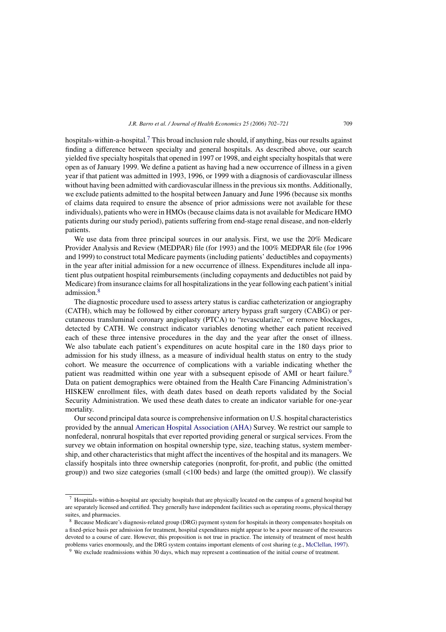hospitals-within-a-hospital.<sup>7</sup> This broad inclusion rule should, if anything, bias our results against finding a difference between specialty and general hospitals. As described above, our search yielded five specialty hospitals that opened in 1997 or 1998, and eight specialty hospitals that were open as of January 1999. We define a patient as having had a new occurrence of illness in a given year if that patient was admitted in 1993, 1996, or 1999 with a diagnosis of cardiovascular illness without having been admitted with cardiovascular illness in the previous six months. Additionally, we exclude patients admitted to the hospital between January and June 1996 (because six months of claims data required to ensure the absence of prior admissions were not available for these individuals), patients who were in HMOs (because claims data is not available for Medicare HMO patients during our study period), patients suffering from end-stage renal disease, and non-elderly patients.

We use data from three principal sources in our analysis. First, we use the 20% Medicare Provider Analysis and Review (MEDPAR) file (for 1993) and the 100% MEDPAR file (for 1996 and 1999) to construct total Medicare payments (including patients' deductibles and copayments) in the year after initial admission for a new occurrence of illness. Expenditures include all inpatient plus outpatient hospital reimbursements (including copayments and deductibles not paid by Medicare) from insurance claims for all hospitalizations in the year following each patient's initial admission.<sup>8</sup>

The diagnostic procedure used to assess artery status is cardiac catheterization or angiography (CATH), which may be followed by either coronary artery bypass graft surgery (CABG) or percutaneous transluminal coronary angioplasty (PTCA) to "revascularize," or remove blockages, detected by CATH. We construct indicator variables denoting whether each patient received each of these three intensive procedures in the day and the year after the onset of illness. We also tabulate each patient's expenditures on acute hospital care in the 180 days prior to admission for his study illness, as a measure of individual health status on entry to the study cohort. We measure the occurrence of complications with a variable indicating whether the patient was readmitted within one year with a subsequent episode of AMI or heart failure.<sup>9</sup> Data on patient demographics were obtained from the Health Care Financing Administration's HISKEW enrollment files, with death dates based on death reports validated by the Social Security Administration. We used these death dates to create an indicator variable for one-year mortality.

Our second principal data source is comprehensive information on U.S. hospital characteristics provided by the annual [American Hospital Association \(AHA\)](#page-18-0) Survey. We restrict our sample to nonfederal, nonrural hospitals that ever reported providing general or surgical services. From the survey we obtain information on hospital ownership type, size, teaching status, system membership, and other characteristics that might affect the incentives of the hospital and its managers. We classify hospitals into three ownership categories (nonprofit, for-profit, and public (the omitted group)) and two size categories (small (<100 beds) and large (the omitted group)). We classify

<sup>7</sup> Hospitals-within-a-hospital are specialty hospitals that are physically located on the campus of a general hospital but are separately licensed and certified. They generally have independent facilities such as operating rooms, physical therapy suites, and pharmacies.

<sup>8</sup> Because Medicare's diagnosis-related group (DRG) payment system for hospitals in theory compensates hospitals on a fixed-price basis per admission for treatment, hospital expenditures might appear to be a poor measure of the resources devoted to a course of care. However, this proposition is not true in practice. The intensity of treatment of most health problems varies enormously, and the DRG system contains important elements of cost sharing (e.g., [McClellan, 1997\).](#page-18-0)

<sup>9</sup> We exclude readmissions within 30 days, which may represent a continuation of the initial course of treatment.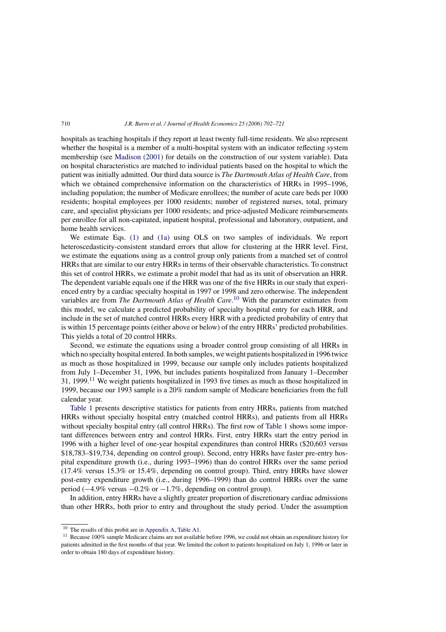hospitals as teaching hospitals if they report at least twenty full-time residents. We also represent whether the hospital is a member of a multi-hospital system with an indicator reflecting system membership (see [Madison \(2001\)](#page-18-0) for details on the construction of our system variable). Data on hospital characteristics are matched to individual patients based on the hospital to which the patient was initially admitted. Our third data source is *The Dartmouth Atlas of Health Care*, from which we obtained comprehensive information on the characteristics of HRRs in 1995–1996, including population; the number of Medicare enrollees; the number of acute care beds per 1000 residents; hospital employees per 1000 residents; number of registered nurses, total, primary care, and specialist physicians per 1000 residents; and price-adjusted Medicare reimbursements per enrollee for all non-capitated, inpatient hospital, professional and laboratory, outpatient, and home health services.

We estimate Eqs. [\(1\)](#page-6-0) and [\(1a\)](#page-6-0) using OLS on two samples of individuals. We report heteroscedasticity-consistent standard errors that allow for clustering at the HRR level. First, we estimate the equations using as a control group only patients from a matched set of control HRRs that are similar to our entry HRRs in terms of their observable characteristics. To construct this set of control HRRs, we estimate a probit model that had as its unit of observation an HRR. The dependent variable equals one if the HRR was one of the five HRRs in our study that experienced entry by a cardiac specialty hospital in 1997 or 1998 and zero otherwise. The independent variables are from *The Dartmouth Atlas of Health Care*. <sup>10</sup> With the parameter estimates from this model, we calculate a predicted probability of specialty hospital entry for each HRR, and include in the set of matched control HRRs every HRR with a predicted probability of entry that is within 15 percentage points (either above or below) of the entry HRRs' predicted probabilities. This yields a total of 20 control HRRs.

Second, we estimate the equations using a broader control group consisting of all HRRs in which no specialty hospital entered. In both samples, we weight patients hospitalized in 1996 twice as much as those hospitalized in 1999, because our sample only includes patients hospitalized from July 1–December 31, 1996, but includes patients hospitalized from January 1–December 31, 1999.<sup>11</sup> We weight patients hospitalized in 1993 five times as much as those hospitalized in 1999, because our 1993 sample is a 20% random sample of Medicare beneficiaries from the full calendar year.

[Table 1](#page-9-0) presents descriptive statistics for patients from entry HRRs, patients from matched HRRs without specialty hospital entry (matched control HRRs), and patients from all HRRs without specialty hospital entry (all control HRRs). The first row of [Table 1](#page-9-0) shows some important differences between entry and control HRRs. First, entry HRRs start the entry period in 1996 with a higher level of one-year hospital expenditures than control HRRs (\$20,603 versus \$18,783–\$19,734, depending on control group). Second, entry HRRs have faster pre-entry hospital expenditure growth (i.e., during 1993–1996) than do control HRRs over the same period (17.4% versus 15.3% or 15.4%, depending on control group). Third, entry HRRs have slower post-entry expenditure growth (i.e., during 1996–1999) than do control HRRs over the same period (−4.9% versus −0.2% or −1.7%, depending on control group).

In addition, entry HRRs have a slightly greater proportion of discretionary cardiac admissions than other HRRs, both prior to entry and throughout the study period. Under the assumption

<sup>10</sup> The results of this probit are in [Appendix A,](#page-17-0) [Table A1.](#page-17-0)

<sup>&</sup>lt;sup>11</sup> Because 100% sample Medicare claims are not available before 1996, we could not obtain an expenditure history for patients admitted in the first months of that year. We limited the cohort to patients hospitalized on July 1, 1996 or later in order to obtain 180 days of expenditure history.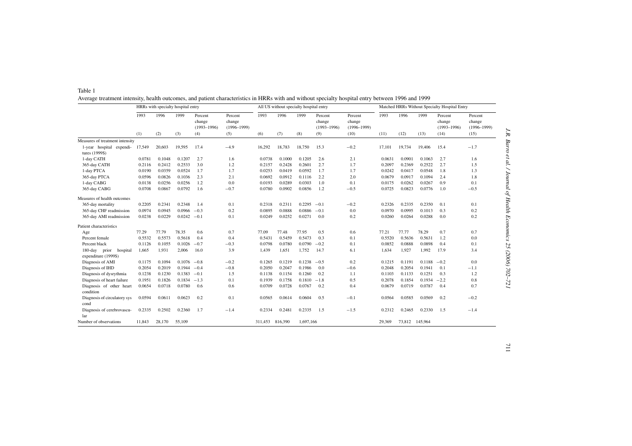#### <span id="page-9-0"></span>Table 1

Average treatment intensity, health outcomes, and patient characteristics in HRRs with and without specialty hospital entry between 1996 and 1999

|                                                   | HRRs with specialty hospital entry |             |             |                                             | All US without specialty hospital entry     |             |             |             | Matched HRRs Without Specialty Hospital Entry |                                              |              |              |              |                                              |                                              |
|---------------------------------------------------|------------------------------------|-------------|-------------|---------------------------------------------|---------------------------------------------|-------------|-------------|-------------|-----------------------------------------------|----------------------------------------------|--------------|--------------|--------------|----------------------------------------------|----------------------------------------------|
|                                                   | 1993<br>(1)                        | 1996<br>(2) | 1999<br>(3) | Percent<br>change<br>$(1993 - 1996)$<br>(4) | Percent<br>change<br>$(1996 - 1999)$<br>(5) | 1993<br>(6) | 1996<br>(7) | 1999<br>(8) | Percent<br>change<br>$(1993 - 1996)$<br>(9)   | Percent<br>change<br>$(1996 - 1999)$<br>(10) | 1993<br>(11) | 1996<br>(12) | 1999<br>(13) | Percent<br>change<br>$(1993 - 1996)$<br>(14) | Percent<br>change<br>$(1996 - 1999)$<br>(15) |
| Measures of treatment intensity                   |                                    |             |             |                                             |                                             |             |             |             |                                               |                                              |              |              |              |                                              |                                              |
| 1-year hospital expendi- 17,549<br>tures (1999\$) |                                    | 20,603      | 19,595      | 17.4                                        | $-4.9$                                      | 16,292      | 18,783      | 18,750      | 15.3                                          | $-0.2$                                       | 17,101       | 19,734       | 19,406       | 15.4                                         | $-1.7$                                       |
| 1-day CATH                                        | 0.0781                             | 0.1048      | 0.1207      | 2.7                                         | 1.6                                         | 0.0738      | 0.1000      | 0.1205      | 2.6                                           | 2.1                                          | 0.0631       | 0.0901       | 0.1063       | 2.7                                          | 1.6                                          |
| 365-day CATH                                      | 0.2116                             | 0.2412      | 0.2533      | 3.0                                         | 1.2                                         | 0.2157      | 0.2428      | 0.2601      | 2.7                                           | 1.7                                          | 0.2097       | 0.2369       | 0.2522       | 2.7                                          | 1.5                                          |
| 1-day PTCA                                        | 0.0190                             | 0.0359      | 0.0524      | 1.7                                         | 1.7                                         | 0.0253      | 0.0419      | 0.0592      | 1.7                                           | 1.7                                          | 0.0242       | 0.0417       | 0.0548       | 1.8                                          | 1.3                                          |
| 365-day PTCA                                      | 0.0596                             | 0.0826      | 0.1036      | 2.3                                         | 2.1                                         | 0.0692      | 0.0912      | 0.1116      | 2.2                                           | 2.0                                          | 0.0679       | 0.0917       | 0.1094       | 2.4                                          | 1.8                                          |
| 1-day CABG                                        | 0.0138                             | 0.0256      | 0.0256      | 1.2                                         | 0.0                                         | 0.0193      | 0.0289      | 0.0303      | 1.0                                           | 0.1                                          | 0.0175       | 0.0262       | 0.0267       | 0.9                                          | 0.1                                          |
| 365-day CABG                                      | 0.0708                             | 0.0867      | 0.0792      | 1.6                                         | $-0.7$                                      | 0.0780      | 0.0902      | 0.0856      | 1.2                                           | $-0.5$                                       | 0.0725       | 0.0823       | 0.0776       | 1.0                                          | $-0.5$                                       |
| Measures of health outcomes                       |                                    |             |             |                                             |                                             |             |             |             |                                               |                                              |              |              |              |                                              |                                              |
| 365-day mortality                                 | 0.2205                             | 0.2341      | 0.2348      | 1.4                                         | 0.1                                         | 0.2318      | 0.2311      | 0.2295      | $-0.1$                                        | $-0.2$                                       | 0.2326       | 0.2335       | 0.2350       | 0.1                                          | 0.1                                          |
| 365-day CHF readmission                           | 0.0974                             | 0.0945      | 0.0966      | $-0.3$                                      | 0.2                                         | 0.0895      | 0.0888      | 0.0886      | $-0.1$                                        | 0.0                                          | 0.0970       | 0.0995       | 0.1013       | 0.3                                          | 0.2                                          |
| 365-day AMI readmission                           | 0.0238                             | 0.0229      | 0.0242      | $-0.1$                                      | 0.1                                         | 0.0249      | 0.0252      | 0.0271      | 0.0                                           | 0.2                                          | 0.0260       | 0.0264       | 0.0288       | 0.0                                          | 0.2                                          |
| Patient characteristics                           |                                    |             |             |                                             |                                             |             |             |             |                                               |                                              |              |              |              |                                              |                                              |
| Age                                               | 77.29                              | 77.79       | 78.35       | 0.6                                         | 0.7                                         | 77.09       | 77.48       | 77.95       | 0.5                                           | 0.6                                          | 77.21        | 77.77        | 78.29        | 0.7                                          | 0.7                                          |
| Percent female                                    | 0.5532                             | 0.5573      | 0.5618      | 0.4                                         | 0.4                                         | 0.5431      | 0.5459      | 0.5473      | 0.3                                           | 0.1                                          | 0.5520       | 0.5636       | 0.5631       | 1.2                                          | 0.0                                          |
| Percent black                                     | 0.1126                             | 0.1055      | 0.1026      | $-0.7$                                      | $-0.3$                                      | 0.0798      | 0.0780      | 0.0790      | $-0.2$                                        | 0.1                                          | 0.0852       | 0.0888       | 0.0898       | 0.4                                          | 0.1                                          |
| 180-day prior<br>hospital<br>expenditure (1999\$) | 1,665                              | 1,931       | 2,006       | 16.0                                        | 3.9                                         | 1,439       | 1,651       | 1,752       | 14.7                                          | 6.1                                          | 1,634        | 1,927        | 1,992        | 17.9                                         | 3.4                                          |
| Diagnosis of AMI                                  | 0.1175                             | 0.1094      | 0.1076      | $-0.8$                                      | $-0.2$                                      | 0.1265      | 0.1219      | 0.1238      | $-0.5$                                        | 0.2                                          | 0.1215       | 0.1191       | 0.1188       | $-0.2$                                       | 0.0                                          |
| Diagnosis of IHD                                  | 0.2054                             | 0.2019      | 0.1944      | $-0.4$                                      | $-0.8$                                      | 0.2050      | 0.2047      | 0.1986      | 0.0                                           | $-0.6$                                       | 0.2048       | 0.2054       | 0.1941       | 0.1                                          | $-1.1$                                       |
| Diagnosis of dysrythmia                           | 0.1238                             | 0.1230      | 0.1383      | $-0.1$                                      | 1.5                                         | 0.1138      | 0.1154      | 0.1260      | 0.2                                           | 1.1                                          | 0.1103       | 0.1133       | 0.1251       | 0.3                                          | 1.2                                          |
| Diagnosis of heart failure                        | 0.1951                             | 0.1826      | 0.1834      | $-1.3$                                      | 0.1                                         | 0.1939      | 0.1758      | 0.1810      | $-1.8$                                        | 0.5                                          | 0.2078       | 0.1854       | 0.1934       | $-2.2$                                       | 0.8                                          |
| Diagnosis of other heart<br>condition             | 0.0654                             | 0.0718      | 0.0780      | 0.6                                         | 0.6                                         | 0.0709      | 0.0728      | 0.0767      | 0.2                                           | 0.4                                          | 0.0679       | 0.0719       | 0.0787       | 0.4                                          | 0.7                                          |
| Diagnosis of circulatory sys<br>cond              | 0.0594                             | 0.0611      | 0.0623      | 0.2                                         | 0.1                                         | 0.0565      | 0.0614      | 0.0604      | 0.5                                           | $-0.1$                                       | 0.0564       | 0.0585       | 0.0569       | 0.2                                          | $-0.2$                                       |
| Diagnosis of cerebrovascu-<br>lar                 | 0.2335                             | 0.2502      | 0.2360      | 1.7                                         | $-1.4$                                      | 0.2334      | 0.2481      | 0.2335      | 1.5                                           | $-1.5$                                       | 0.2312       | 0.2465       | 0.2330       | 1.5                                          | $-1.4$                                       |
| Number of observations                            | 11,843                             | 28,170      | 55,109      |                                             |                                             | 311,453     | 816,390     | 1,697,166   |                                               |                                              | 29,369       | 73,812       | 145,964      |                                              |                                              |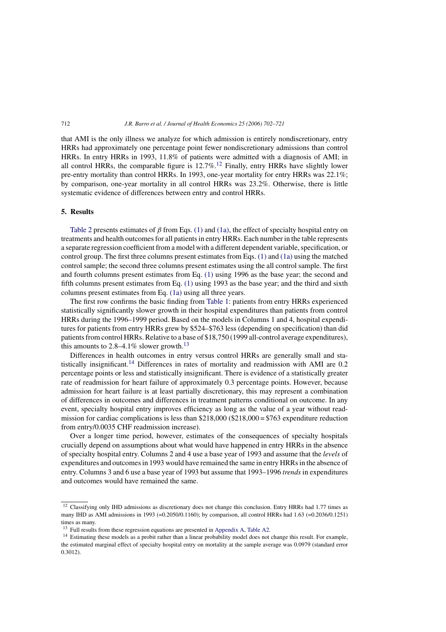<span id="page-10-0"></span>that AMI is the only illness we analyze for which admission is entirely nondiscretionary, entry HRRs had approximately one percentage point fewer nondiscretionary admissions than control HRRs. In entry HRRs in 1993, 11.8% of patients were admitted with a diagnosis of AMI; in all control HRRs, the comparable figure is  $12.7\%$ .<sup>12</sup> Finally, entry HRRs have slightly lower pre-entry mortality than control HRRs. In 1993, one-year mortality for entry HRRs was 22.1%; by comparison, one-year mortality in all control HRRs was 23.2%. Otherwise, there is little systematic evidence of differences between entry and control HRRs.

# **5. Results**

[Table 2](#page-11-0) presents estimates of *β* from Eqs. [\(1\)](#page-6-0) and [\(1a\), t](#page-6-0)he effect of specialty hospital entry on treatments and health outcomes for all patients in entry HRRs. Each number in the table represents a separate regression coefficient from a model with a different dependent variable, specification, or control group. The first three columns present estimates from Eqs. [\(1\)](#page-6-0) and [\(1a\)](#page-6-0) using the matched control sample; the second three columns present estimates using the all control sample. The first and fourth columns present estimates from Eq. [\(1\)](#page-6-0) using 1996 as the base year; the second and fifth columns present estimates from Eq. [\(1\)](#page-6-0) using 1993 as the base year; and the third and sixth columns present estimates from Eq. [\(1a\)](#page-6-0) using all three years.

The first row confirms the basic finding from [Table 1:](#page-9-0) patients from entry HRRs experienced statistically significantly slower growth in their hospital expenditures than patients from control HRRs during the 1996–1999 period. Based on the models in Columns 1 and 4, hospital expenditures for patients from entry HRRs grew by \$524–\$763 less (depending on specification) than did patients from control HRRs. Relative to a base of \$18,750 (1999 all-control average expenditures), this amounts to 2.8–4.1% slower growth.<sup>13</sup>

Differences in health outcomes in entry versus control HRRs are generally small and statistically insignificant.<sup>14</sup> Differences in rates of mortality and readmission with AMI are 0.2 percentage points or less and statistically insignificant. There is evidence of a statistically greater rate of readmission for heart failure of approximately 0.3 percentage points. However, because admission for heart failure is at least partially discretionary, this may represent a combination of differences in outcomes and differences in treatment patterns conditional on outcome. In any event, specialty hospital entry improves efficiency as long as the value of a year without readmission for cardiac complications is less than \$218,000 (\$218,000 = \$763 expenditure reduction from entry/0.0035 CHF readmission increase).

Over a longer time period, however, estimates of the consequences of specialty hospitals crucially depend on assumptions about what would have happened in entry HRRs in the absence of specialty hospital entry. Columns 2 and 4 use a base year of 1993 and assume that the *levels* of expenditures and outcomes in 1993 would have remained the same in entry HRRs in the absence of entry. Columns 3 and 6 use a base year of 1993 but assume that 1993–1996 *trends* in expenditures and outcomes would have remained the same.

<sup>&</sup>lt;sup>12</sup> Classifying only IHD admissions as discretionary does not change this conclusion. Entry HRRs had 1.77 times as many IHD as AMI admissions in 1993 (=0.2050/0.1160); by comparison, all control HRRs had 1.63 (=0.2036/0.1251) times as many.

<sup>&</sup>lt;sup>13</sup> Full results from these regression equations are presented in [Appendix A,](#page-17-0) [Table A2.](#page-17-0)

<sup>14</sup> Estimating these models as a probit rather than a linear probability model does not change this result. For example, the estimated marginal effect of specialty hospital entry on mortality at the sample average was 0.0979 (standard error 0.3012).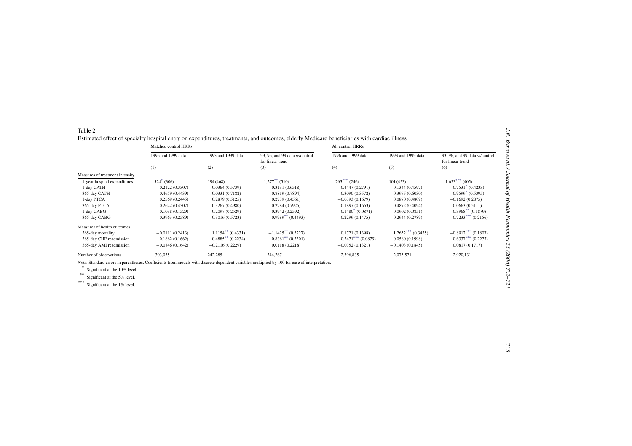<span id="page-11-0"></span>

|                                       | Matched control HRRs |                      |                                                                                                                                                | All control HRRs     |                     |                                                   |
|---------------------------------------|----------------------|----------------------|------------------------------------------------------------------------------------------------------------------------------------------------|----------------------|---------------------|---------------------------------------------------|
|                                       | 1996 and 1999 data   | 1993 and 1999 data   | 93, 96, and 99 data w/control<br>for linear trend                                                                                              | 1996 and 1999 data   | 1993 and 1999 data  | 93, 96, and 99 data w/control<br>for linear trend |
|                                       | (1)                  | (2)                  | (3)                                                                                                                                            | (4)                  | (5)                 | (6)                                               |
| Measures of treatment intensity       |                      |                      |                                                                                                                                                |                      |                     |                                                   |
| 1-year hospital expenditures          | $-524^*$ (306)       | 194 (468)            | $-1,277***$ (510)                                                                                                                              | $-763$ *** (246)     | 101(453)            | $-1,653***(405)$                                  |
| 1-day CATH                            | $-0.2122(0.3307)$    | $-0.0364(0.5739)$    | $-0.3131(0.6518)$                                                                                                                              | $-0.4447(0.2791)$    | $-0.1344(0.4597)$   | $-0.7531^*$ (0.4233)                              |
| 365-day CATH                          | $-0.4659(0.4439)$    | 0.0331(0.7182)       | $-0.8819(0.7894)$                                                                                                                              | $-0.3090(0.3572)$    | 0.3975(0.6030)      | $-0.9599*$ (0.5395)                               |
| 1-day PTCA                            | 0.2569(0.2445)       | 0.2879(0.5125)       | 0.2739(0.4561)                                                                                                                                 | $-0.0393(0.1679)$    | 0.0870(0.4809)      | $-0.1692(0.2875)$                                 |
| 365-day PTCA                          | 0.2622(0.4307)       | 0.3267(0.4980)       | 0.2784(0.7925)                                                                                                                                 | 0.1897(0.1653)       | 0.4872(0.4094)      | $-0.0663(0.5111)$                                 |
| 1-day CABG                            | $-0.1038(0.1529)$    | 0.2097(0.2529)       | $-0.3942(0.2592)$                                                                                                                              | $-0.1480^*$ (0.0871) | 0.0902(0.0851)      | $-0.3968$ <sup>**</sup> (0.1879)                  |
| 365-day CABG                          | $-0.3963(0.2589)$    | 0.3016(0.5723)       | $-0.9989**$ (0.4493)                                                                                                                           | $-0.2299(0.1475)$    | 0.2944(0.2789)      | $-0.7233***$ (0.2156)                             |
| Measures of health outcomes           |                      |                      |                                                                                                                                                |                      |                     |                                                   |
| 365-day mortality                     | $-0.0111(0.2413)$    | $1.1154**$ (0.4331)  | $-1.1425**$ (0.5227)                                                                                                                           | 0.1721(0.1398)       | $1.2652***(0.3435)$ | $-0.8912***(0.1807)$                              |
| 365-day CHF readmission               | 0.1862(0.1662)       | $-0.4885**$ (0.2234) | $0.8361**$ (0.3301)                                                                                                                            | $0.3471***(0.0879)$  | 0.0580(0.1998)      | $0.6337***$ $(0.2273)$                            |
| 365-day AMI readmission               | $-0.0846(0.1642)$    | $-0.2116(0.2229)$    | 0.0118(0.2218)                                                                                                                                 | $-0.0352(0.1321)$    | $-0.1403(0.1845)$   | 0.0817(0.1717)                                    |
| Number of observations                | 303,055              | 242,285              | 344,267                                                                                                                                        | 2,596,835            | 2,075,571           | 2,920,131                                         |
|                                       |                      |                      | Note: Standard errors in parentheses. Coefficients from models with discrete dependent variables multiplied by 100 for ease of interpretation. |                      |                     |                                                   |
| Significant at the 10% level.         |                      |                      |                                                                                                                                                |                      |                     |                                                   |
| $***$<br>Significant at the 5% level. |                      |                      |                                                                                                                                                |                      |                     |                                                   |
| ***<br>Significant at the 1% level.   |                      |                      |                                                                                                                                                |                      |                     |                                                   |
|                                       |                      |                      |                                                                                                                                                |                      |                     |                                                   |
|                                       |                      |                      |                                                                                                                                                |                      |                     |                                                   |
|                                       |                      |                      |                                                                                                                                                |                      |                     |                                                   |
|                                       |                      |                      |                                                                                                                                                |                      |                     |                                                   |
|                                       |                      |                      |                                                                                                                                                |                      |                     |                                                   |
|                                       |                      |                      |                                                                                                                                                |                      |                     |                                                   |
|                                       |                      |                      |                                                                                                                                                |                      |                     |                                                   |
|                                       |                      |                      |                                                                                                                                                |                      |                     |                                                   |
|                                       |                      |                      |                                                                                                                                                |                      |                     |                                                   |
|                                       |                      |                      |                                                                                                                                                |                      |                     |                                                   |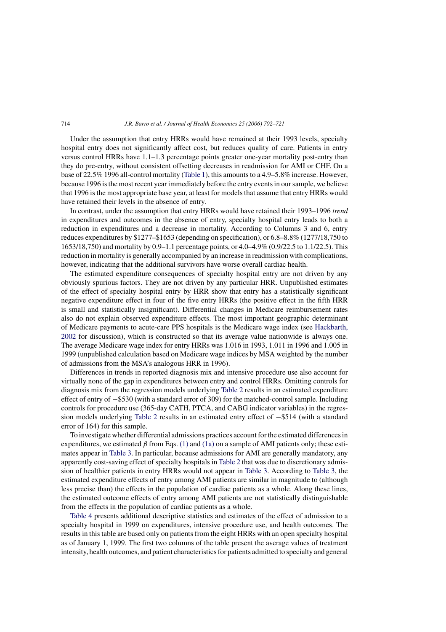Under the assumption that entry HRRs would have remained at their 1993 levels, specialty hospital entry does not significantly affect cost, but reduces quality of care. Patients in entry versus control HRRs have 1.1–1.3 percentage points greater one-year mortality post-entry than they do pre-entry, without consistent offsetting decreases in readmission for AMI or CHF. On a base of 22.5% 1996 all-control mortality [\(Table 1\),](#page-9-0) this amounts to a 4.9–5.8% increase. However, because 1996 is the most recent year immediately before the entry events in our sample, we believe that 1996 is the most appropriate base year, at least for models that assume that entry HRRs would have retained their levels in the absence of entry.

In contrast, under the assumption that entry HRRs would have retained their 1993–1996 *trend* in expenditures and outcomes in the absence of entry, specialty hospital entry leads to both a reduction in expenditures and a decrease in mortality. According to Columns 3 and 6, entry reduces expenditures by \$1277–\$1653 (depending on specification), or 6.8–8.8% (1277/18,750 to 1653/18,750) and mortality by 0.9–1.1 percentage points, or 4.0–4.9% (0.9/22.5 to 1.1/22.5). This reduction in mortality is generally accompanied by an increase in readmission with complications, however, indicating that the additional survivors have worse overall cardiac health.

The estimated expenditure consequences of specialty hospital entry are not driven by any obviously spurious factors. They are not driven by any particular HRR. Unpublished estimates of the effect of specialty hospital entry by HRR show that entry has a statistically significant negative expenditure effect in four of the five entry HRRs (the positive effect in the fifth HRR is small and statistically insignificant). Differential changes in Medicare reimbursement rates also do not explain observed expenditure effects. The most important geographic determinant of Medicare payments to acute-care PPS hospitals is the Medicare wage index (see [Hackbarth,](#page-18-0) [2002](#page-18-0) for discussion), which is constructed so that its average value nationwide is always one. The average Medicare wage index for entry HRRs was 1.016 in 1993, 1.011 in 1996 and 1.005 in 1999 (unpublished calculation based on Medicare wage indices by MSA weighted by the number of admissions from the MSA's analogous HRR in 1996).

Differences in trends in reported diagnosis mix and intensive procedure use also account for virtually none of the gap in expenditures between entry and control HRRs. Omitting controls for diagnosis mix from the regression models underlying [Table 2](#page-11-0) results in an estimated expenditure effect of entry of −\$530 (with a standard error of 309) for the matched-control sample. Including controls for procedure use (365-day CATH, PTCA, and CABG indicator variables) in the regression models underlying [Table 2](#page-11-0) results in an estimated entry effect of −\$514 (with a standard error of 164) for this sample.

To investigate whether differential admissions practices account for the estimated differences in expenditures, we estimated  $\beta$  from Eqs. [\(1\)](#page-6-0) and [\(1a\)](#page-6-0) on a sample of AMI patients only; these estimates appear in [Table 3.](#page-13-0) In particular, because admissions for AMI are generally mandatory, any apparently cost-saving effect of specialty hospitals in [Table 2](#page-11-0) that was due to discretionary admission of healthier patients in entry HRRs would not appear in [Table 3.](#page-13-0) According to [Table 3,](#page-13-0) the estimated expenditure effects of entry among AMI patients are similar in magnitude to (although less precise than) the effects in the population of cardiac patients as a whole. Along these lines, the estimated outcome effects of entry among AMI patients are not statistically distinguishable from the effects in the population of cardiac patients as a whole.

[Table 4](#page-14-0) presents additional descriptive statistics and estimates of the effect of admission to a specialty hospital in 1999 on expenditures, intensive procedure use, and health outcomes. The results in this table are based only on patients from the eight HRRs with an open specialty hospital as of January 1, 1999. The first two columns of the table present the average values of treatment intensity, health outcomes, and patient characteristics for patients admitted to specialty and general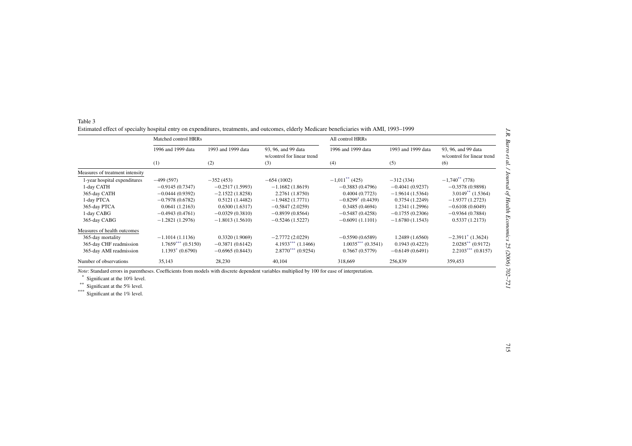| ֖֖ׅ֧֧֚֚֚֚֚֚֚֚֚֚֚֚֚֚֚֚֚֚֚֚֚֚֚֚֚֚֚֚֚֚֚֚֚֚֚֡֬֡֡֡֓֝֓                                                                                                                                                                                                                       |
|------------------------------------------------------------------------------------------------------------------------------------------------------------------------------------------------------------------------------------------------------------------------|
| ľ                                                                                                                                                                                                                                                                      |
|                                                                                                                                                                                                                                                                        |
|                                                                                                                                                                                                                                                                        |
|                                                                                                                                                                                                                                                                        |
|                                                                                                                                                                                                                                                                        |
|                                                                                                                                                                                                                                                                        |
| $\ldots$ be the control of the complete $\zeta$ of $\zeta$ and $\zeta$ and $\zeta$ and $\zeta$ and $\zeta$ and $\zeta$ and $\zeta$ and $\zeta$ and $\zeta$ and $\zeta$ and $\zeta$ and $\zeta$ and $\zeta$ and $\zeta$ and $\zeta$ and $\zeta$ and $\zeta$ and $\zeta$ |
|                                                                                                                                                                                                                                                                        |
|                                                                                                                                                                                                                                                                        |
| ו שט שט                                                                                                                                                                                                                                                                |
|                                                                                                                                                                                                                                                                        |

 $\epsilon$ 

#### <span id="page-13-0"></span>Table 3 Estimated effect of specialty hospital entry on expenditures, treatments, and outcomes, elderly Medicare beneficiaries with AMI, 1993–1999

|                                 | Matched control HRRs |                    |                                                   | All control HRRs             |                    |                                                   |  |
|---------------------------------|----------------------|--------------------|---------------------------------------------------|------------------------------|--------------------|---------------------------------------------------|--|
|                                 | 1996 and 1999 data   | 1993 and 1999 data | 93, 96, and 99 data<br>w/control for linear trend | 1996 and 1999 data           | 1993 and 1999 data | 93, 96, and 99 data<br>w/control for linear trend |  |
|                                 | (1)                  | (2)                | (3)                                               | (4)                          | (5)                | (6)                                               |  |
| Measures of treatment intensity |                      |                    |                                                   |                              |                    |                                                   |  |
| 1-year hospital expenditures    | $-499(597)$          | $-352(453)$        | $-654(1002)$                                      | $-1,011$ <sup>**</sup> (425) | $-312(334)$        | $-1,740^{\ast\ast}$ (778)                         |  |
| 1-day CATH                      | $-0.9145(0.7347)$    | $-0.2517(1.5993)$  | $-1.1682(1.8619)$                                 | $-0.3883(0.4796)$            | $-0.4041(0.9237)$  | $-0.3578(0.9898)$                                 |  |
| 365-day CATH                    | $-0.0444(0.9392)$    | $-2.1522(1.8258)$  | 2.2761 (1.8750)                                   | 0.4004(0.7723)               | $-1.9614(1.5364)$  | $3.0149**$ (1.5364)                               |  |
| 1-day PTCA                      | $-0.7978(0.6782)$    | 0.5121(1.4482)     | $-1.9482(1.7771)$                                 | $-0.8299*$ (0.4439)          | 0.3754(1.2249)     | $-1.9377(1.2723)$                                 |  |
| 365-day PTCA                    | 0.0641(1.2163)       | 0.6300(1.6317)     | $-0.5847(2.0259)$                                 | 0.3485(0.4694)               | 1.2341 (1.2996)    | $-0.6108(0.6049)$                                 |  |
| 1-day CABG                      | $-0.4943(0.4761)$    | $-0.0329(0.3810)$  | $-0.8939(0.8564)$                                 | $-0.5487(0.4258)$            | $-0.1755(0.2306)$  | $-0.9364(0.7884)$                                 |  |
| 365-day CABG                    | $-1.2821(1.2976)$    | $-1.8013(1.5610)$  | $-0.5246(1.5227)$                                 | $-0.6091(1.1101)$            | $-1.6780(1.1543)$  | 0.5337(1.2173)                                    |  |
| Measures of health outcomes     |                      |                    |                                                   |                              |                    |                                                   |  |
| 365-day mortality               | $-1.1014(1.1136)$    | 0.3320(1.9069)     | $-2.7772(2.0229)$                                 | $-0.5590(0.6589)$            | 1.2489 (1.6560)    | $-2.3911^*$ (1.3624)                              |  |
| 365-day CHF readmission         | $1.7659***(0.5150)$  | $-0.3871(0.6142)$  | $4.1933***$ $(1.1466)$                            | $1.0035***$ $(0.3541)$       | 0.1943(0.4223)     | $2.0285**$ (0.9172)                               |  |
| 365-day AMI readmission         | $1.1393^* (0.6790)$  | $-0.6965(0.8443)$  | $2.8770***(0.9254)$                               | 0.7667(0.5779)               | $-0.6149(0.6491)$  | $2.2103***(0.8157)$                               |  |
| Number of observations          | 35,143               | 28,230             | 40.104                                            | 318,669                      | 256,839            | 359,453                                           |  |

*Note*: Standard errors in parentheses. Coefficients from models with discrete dependent variables multiplied by 100 for ease of interpretation.

Significant at the 10% level.

\*\* Significant at the 5% level.

\*\*\* Significant at the 1% level.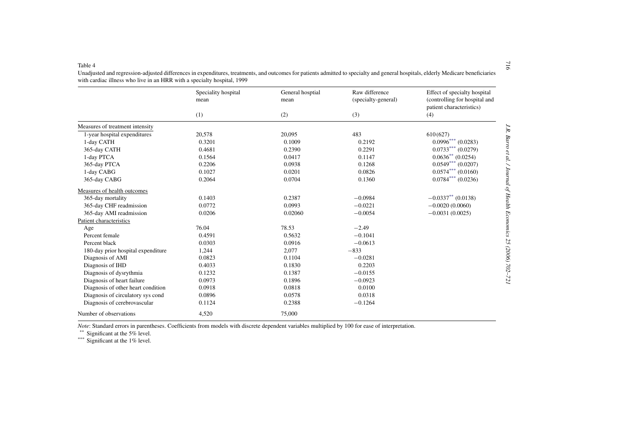<span id="page-14-0"></span>

|                                    | Speciality hospital<br>mean | General hosptial<br>mean | Raw difference<br>(specialty-general) | Effect of specialty hospital<br>(controlling for hospital and<br>patient characteristics) |
|------------------------------------|-----------------------------|--------------------------|---------------------------------------|-------------------------------------------------------------------------------------------|
|                                    | (1)                         | (2)                      | (3)                                   | (4)                                                                                       |
| Measures of treatment intensity    |                             |                          |                                       |                                                                                           |
| 1-year hospital expenditures       | 20,578                      | 20,095                   | 483                                   | 610(627)                                                                                  |
| 1-day CATH                         | 0.3201                      | 0.1009                   | 0.2192                                | $0.0996***$ (0.0283)                                                                      |
| 365-day CATH                       | 0.4681                      | 0.2390                   | 0.2291                                | $0.0733***$ $(0.0279)$                                                                    |
| 1-day PTCA                         | 0.1564                      | 0.0417                   | 0.1147                                | $0.0636**$ (0.0254)                                                                       |
| 365-day PTCA                       | 0.2206                      | 0.0938                   | 0.1268                                | $0.0549***$ $(0.0207)$                                                                    |
| 1-day CABG                         | 0.1027                      | 0.0201                   | 0.0826                                | $0.0574***$ $(0.0160)$                                                                    |
| 365-day CABG                       | 0.2064                      | 0.0704                   | 0.1360                                | $0.0784***$ $(0.0236)$                                                                    |
| Measures of health outcomes        |                             |                          |                                       |                                                                                           |
| 365-day mortality                  | 0.1403                      | 0.2387                   | $-0.0984$                             | $-0.0337**$ (0.0138)                                                                      |
| 365-day CHF readmission            | 0.0772                      | 0.0993                   | $-0.0221$                             | $-0.0020(0.0060)$                                                                         |
| 365-day AMI readmission            | 0.0206                      | 0.02060                  | $-0.0054$                             | $-0.0031(0.0025)$                                                                         |
| Patient characteristics            |                             |                          |                                       |                                                                                           |
| Age                                | 76.04                       | 78.53                    | $-2.49$                               |                                                                                           |
| Percent female                     | 0.4591                      | 0.5632                   | $-0.1041$                             |                                                                                           |
| Percent black                      | 0.0303                      | 0.0916                   | $-0.0613$                             |                                                                                           |
| 180-day prior hospital expenditure | 1,244                       | 2,077                    | $-833$                                |                                                                                           |
| Diagnosis of AMI                   | 0.0823                      | 0.1104                   | $-0.0281$                             |                                                                                           |
| Diagnosis of IHD                   | 0.4033                      | 0.1830                   | 0.2203                                |                                                                                           |
| Diagnosis of dysrythmia            | 0.1232                      | 0.1387                   | $-0.0155$                             |                                                                                           |
| Diagnosis of heart failure         | 0.0973                      | 0.1896                   | $-0.0923$                             |                                                                                           |
| Diagnosis of other heart condition | 0.0918                      | 0.0818                   | 0.0100                                |                                                                                           |
| Diagnosis of circulatory sys cond  | 0.0896                      | 0.0578                   | 0.0318                                |                                                                                           |
| Diagnosis of cerebrovascular       | 0.1124                      | 0.2388                   | $-0.1264$                             |                                                                                           |
| Number of observations             | 4,520                       | 75,000                   |                                       |                                                                                           |

*Note*: Standard errors in parentheses. Coefficients from models with discrete dependent variables multiplied by 100 for ease of interpretation.<br>\*\* Significant at the 5% level.

\*\*\* Significant at the 1% level.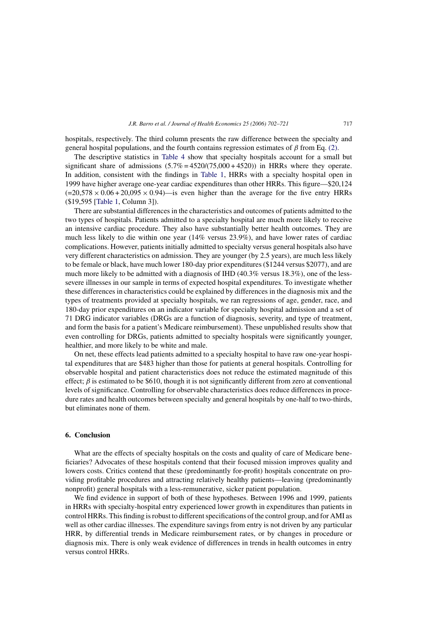<span id="page-15-0"></span>hospitals, respectively. The third column presents the raw difference between the specialty and general hospital populations, and the fourth contains regression estimates of  $\beta$  from Eq. [\(2\).](#page-6-0)

The descriptive statistics in [Table 4](#page-14-0) show that specialty hospitals account for a small but significant share of admissions  $(5.7\% = 4520/(75,000 + 4520))$  in HRRs where they operate. In addition, consistent with the findings in [Table 1,](#page-9-0) HRRs with a specialty hospital open in 1999 have higher average one-year cardiac expenditures than other HRRs. This figure—\$20,124  $(=20,578 \times 0.06 + 20,095 \times 0.94)$ —is even higher than the average for the five entry HRRs (\$19,595 [[Table 1, C](#page-9-0)olumn 3]).

There are substantial differences in the characteristics and outcomes of patients admitted to the two types of hospitals. Patients admitted to a specialty hospital are much more likely to receive an intensive cardiac procedure. They also have substantially better health outcomes. They are much less likely to die within one year (14% versus 23.9%), and have lower rates of cardiac complications. However, patients initially admitted to specialty versus general hospitals also have very different characteristics on admission. They are younger (by 2.5 years), are much less likely to be female or black, have much lower 180-day prior expenditures (\$1244 versus \$2077), and are much more likely to be admitted with a diagnosis of IHD (40.3% versus 18.3%), one of the lesssevere illnesses in our sample in terms of expected hospital expenditures. To investigate whether these differences in characteristics could be explained by differences in the diagnosis mix and the types of treatments provided at specialty hospitals, we ran regressions of age, gender, race, and 180-day prior expenditures on an indicator variable for specialty hospital admission and a set of 71 DRG indicator variables (DRGs are a function of diagnosis, severity, and type of treatment, and form the basis for a patient's Medicare reimbursement). These unpublished results show that even controlling for DRGs, patients admitted to specialty hospitals were significantly younger, healthier, and more likely to be white and male.

On net, these effects lead patients admitted to a specialty hospital to have raw one-year hospital expenditures that are \$483 higher than those for patients at general hospitals. Controlling for observable hospital and patient characteristics does not reduce the estimated magnitude of this effect;  $\beta$  is estimated to be \$610, though it is not significantly different from zero at conventional levels of significance. Controlling for observable characteristics does reduce differences in procedure rates and health outcomes between specialty and general hospitals by one-half to two-thirds, but eliminates none of them.

#### **6. Conclusion**

What are the effects of specialty hospitals on the costs and quality of care of Medicare beneficiaries? Advocates of these hospitals contend that their focused mission improves quality and lowers costs. Critics contend that these (predominantly for-profit) hospitals concentrate on providing profitable procedures and attracting relatively healthy patients—leaving (predominantly nonprofit) general hospitals with a less-remunerative, sicker patient population.

We find evidence in support of both of these hypotheses. Between 1996 and 1999, patients in HRRs with specialty-hospital entry experienced lower growth in expenditures than patients in control HRRs. This finding is robust to different specifications of the control group, and for AMI as well as other cardiac illnesses. The expenditure savings from entry is not driven by any particular HRR, by differential trends in Medicare reimbursement rates, or by changes in procedure or diagnosis mix. There is only weak evidence of differences in trends in health outcomes in entry versus control HRRs.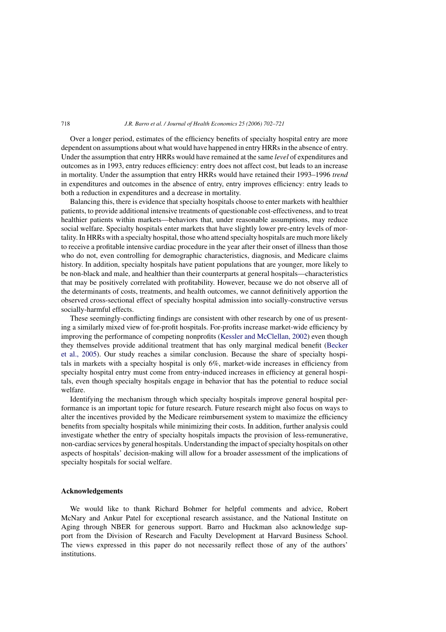Over a longer period, estimates of the efficiency benefits of specialty hospital entry are more dependent on assumptions about what would have happened in entry HRRs in the absence of entry. Under the assumption that entry HRRs would have remained at the same *level* of expenditures and outcomes as in 1993, entry reduces efficiency: entry does not affect cost, but leads to an increase in mortality. Under the assumption that entry HRRs would have retained their 1993–1996 *trend* in expenditures and outcomes in the absence of entry, entry improves efficiency: entry leads to both a reduction in expenditures and a decrease in mortality.

Balancing this, there is evidence that specialty hospitals choose to enter markets with healthier patients, to provide additional intensive treatments of questionable cost-effectiveness, and to treat healthier patients within markets—behaviors that, under reasonable assumptions, may reduce social welfare. Specialty hospitals enter markets that have slightly lower pre-entry levels of mortality. In HRRs with a specialty hospital, those who attend specialty hospitals are much more likely to receive a profitable intensive cardiac procedure in the year after their onset of illness than those who do not, even controlling for demographic characteristics, diagnosis, and Medicare claims history. In addition, specialty hospitals have patient populations that are younger, more likely to be non-black and male, and healthier than their counterparts at general hospitals—characteristics that may be positively correlated with profitability. However, because we do not observe all of the determinants of costs, treatments, and health outcomes, we cannot definitively apportion the observed cross-sectional effect of specialty hospital admission into socially-constructive versus socially-harmful effects.

These seemingly-conflicting findings are consistent with other research by one of us presenting a similarly mixed view of for-profit hospitals. For-profits increase market-wide efficiency by improving the performance of competing nonprofits [\(Kessler and McClellan, 2002\)](#page-18-0) even though they themselves provide additional treatment that has only marginal medical benefit ([Becker](#page-18-0) [et al., 2005\).](#page-18-0) Our study reaches a similar conclusion. Because the share of specialty hospitals in markets with a specialty hospital is only 6%, market-wide increases in efficiency from specialty hospital entry must come from entry-induced increases in efficiency at general hospitals, even though specialty hospitals engage in behavior that has the potential to reduce social welfare.

Identifying the mechanism through which specialty hospitals improve general hospital performance is an important topic for future research. Future research might also focus on ways to alter the incentives provided by the Medicare reimbursement system to maximize the efficiency benefits from specialty hospitals while minimizing their costs. In addition, further analysis could investigate whether the entry of specialty hospitals impacts the provision of less-remunerative, non-cardiac services by general hospitals. Understanding the impact of specialty hospitals on other aspects of hospitals' decision-making will allow for a broader assessment of the implications of specialty hospitals for social welfare.

## **Acknowledgements**

We would like to thank Richard Bohmer for helpful comments and advice, Robert McNary and Ankur Patel for exceptional research assistance, and the National Institute on Aging through NBER for generous support. Barro and Huckman also acknowledge support from the Division of Research and Faculty Development at Harvard Business School. The views expressed in this paper do not necessarily reflect those of any of the authors' institutions.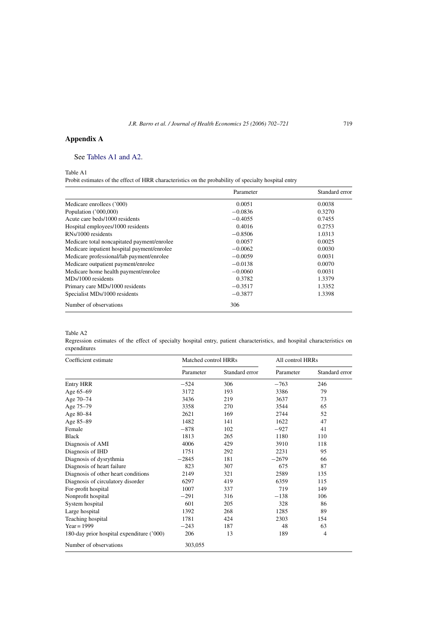# <span id="page-17-0"></span>**Appendix A**

# See Tables A1 and A2.

# Table A1

Probit estimates of the effect of HRR characteristics on the probability of specialty hospital entry

|                                             | Parameter | Standard error |
|---------------------------------------------|-----------|----------------|
| Medicare enrollees ('000)                   | 0.0051    | 0.0038         |
| Population ('000,000)                       | $-0.0836$ | 0.3270         |
| Acute care beds/1000 residents              | $-0.4055$ | 0.7455         |
| Hospital employees/1000 residents           | 0.4016    | 0.2753         |
| RNs/1000 residents                          | $-0.8506$ | 1.0313         |
| Medicare total noncapitated payment/enrolee | 0.0057    | 0.0025         |
| Medicare inpatient hospital payment/enrolee | $-0.0062$ | 0.0030         |
| Medicare professional/lab payment/enrolee   | $-0.0059$ | 0.0031         |
| Medicare outpatient payment/enrolee         | $-0.0138$ | 0.0070         |
| Medicare home health payment/enrolee        | $-0.0060$ | 0.0031         |
| MDs/1000 residents                          | 0.3782    | 1.3379         |
| Primary care MDs/1000 residents             | $-0.3517$ | 1.3352         |
| Specialist MDs/1000 residents               | $-0.3877$ | 1.3398         |
| Number of observations                      | 306       |                |

### Table A2

Regression estimates of the effect of specialty hospital entry, patient characteristics, and hospital characteristics on expenditures

| Coefficient estimate                      | Matched control HRRs |                | All control HRRs |                |  |
|-------------------------------------------|----------------------|----------------|------------------|----------------|--|
|                                           | Parameter            | Standard error | Parameter        | Standard error |  |
| <b>Entry HRR</b>                          | $-524$               | 306            | $-763$           | 246            |  |
| Age 65–69                                 | 3172                 | 193            | 3386             | 79             |  |
| Age 70–74                                 | 3436                 | 219            | 3637             | 73             |  |
| Age 75–79                                 | 3358                 | 270            | 3544             | 65             |  |
| Age 80-84                                 | 2621                 | 169            | 2744             | 52             |  |
| Age 85-89                                 | 1482                 | 141            | 1622             | 47             |  |
| Female                                    | $-878$               | 102            | $-927$           | 41             |  |
| <b>Black</b>                              | 1813                 | 265            | 1180             | 110            |  |
| Diagnosis of AMI                          | 4006                 | 429            | 3910             | 118            |  |
| Diagnosis of IHD                          | 1751                 | 292            | 2231             | 95             |  |
| Diagnosis of dysrythmia                   | $-2845$              | 181            | $-2679$          | 66             |  |
| Diagnosis of heart failure                | 823                  | 307            | 675              | 87             |  |
| Diagnosis of other heart conditions       | 2149                 | 321            | 2589             | 135            |  |
| Diagnosis of circulatory disorder         | 6297                 | 419            | 6359             | 115            |  |
| For-profit hospital                       | 1007                 | 337            | 719              | 149            |  |
| Nonprofit hospital                        | $-291$               | 316            | $-138$           | 106            |  |
| System hospital                           | 601                  | 205            | 328              | 86             |  |
| Large hospital                            | 1392                 | 268            | 1285             | 89             |  |
| Teaching hospital                         | 1781                 | 424            | 2303             | 154            |  |
| $Year = 1999$                             | $-243$               | 187            | 48               | 63             |  |
| 180-day prior hospital expenditure ('000) | 206                  | 13             | 189              | $\overline{4}$ |  |
| Number of observations                    | 303,055              |                |                  |                |  |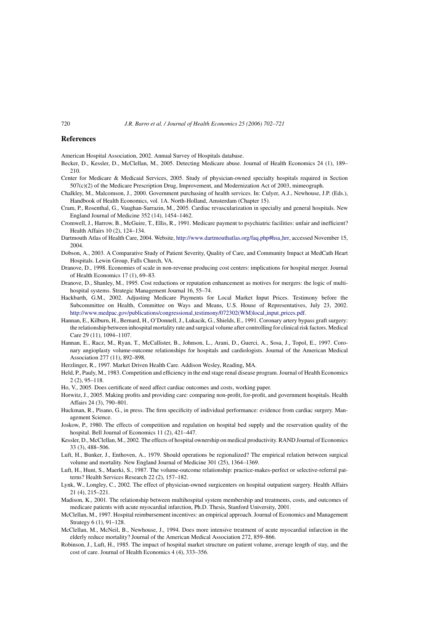### <span id="page-18-0"></span>**References**

American Hospital Association, 2002. Annual Survey of Hospitals database.

- Becker, D., Kessler, D., McClellan, M., 2005. Detecting Medicare abuse. Journal of Health Economics 24 (1), 189– 210.
- Center for Medicare & Medicaid Services, 2005. Study of physician-owned specialty hospitals required in Section 507(c)(2) of the Medicare Prescription Drug, Improvement, and Modernization Act of 2003, mimeograph.
- Chalkley, M., Malcomson, J., 2000. Government purchasing of health services. In: Culyer, A.J., Newhouse, J.P. (Eds.), Handbook of Health Economics, vol. 1A. North-Holland, Amsterdam (Chapter 15).
- Cram, P., Rosenthal, G., Vaughan-Sarrazin, M., 2005. Cardiac revascularization in specialty and general hospitals. New England Journal of Medicine 352 (14), 1454–1462.
- Cromwell, J., Harrow, B., McGuire, T., Ellis, R., 1991. Medicare payment to psychiatric facilities: unfair and inefficient? Health Affairs 10 (2), 124–134.
- Dartmouth Atlas of Health Care, 2004. Website, [http://www.dartmouthatlas.org/faq.php#hsa](http://www.dartmouthatlas.org/faq.php) hrr, accessed November 15, 2004.
- Dobson, A., 2003. A Comparative Study of Patient Severity, Quality of Care, and Community Impact at MedCath Heart Hospitals. Lewin Group, Falls Church, VA.
- Dranove, D., 1998. Economies of scale in non-revenue producing cost centers: implications for hospital merger. Journal of Health Economics 17 (1), 69–83.
- Dranove, D., Shanley, M., 1995. Cost reductions or reputation enhancement as motives for mergers: the logic of multihospital systems. Strategic Management Journal 16, 55–74.
- Hackbarth, G.M., 2002. Adjusting Medicare Payments for Local Market Input Prices. Testimony before the Subcommittee on Health, Committee on Ways and Means, U.S. House of Representatives, July 23, 2002. [http://www.medpac.gov/publications/congressional](http://www.medpac.gov/publications/congressional_testimony/072302(wm)local_input_prices.pdf) testimony/072302(WM)local input prices.pdf.
- Hannan, E., Kilburn, H., Bernard, H., O'Donnell, J., Lukacik, G., Shields, E., 1991. Coronary artery bypass graft surgery: the relationship between inhospital mortality rate and surgical volume after controlling for clinical risk factors. Medical Care 29 (11), 1094–1107.
- Hannan, E., Racz, M., Ryan, T., McCallister, B., Johnson, L., Arani, D., Guerci, A., Sosa, J., Topol, E., 1997. Coronary angioplasty volume-outcome relationships for hospitals and cardiologists. Journal of the American Medical Association 277 (11), 892–898.
- Herzlinger, R., 1997. Market Driven Health Care. Addison Wesley, Reading, MA.
- Held, P., Pauly, M., 1983. Competition and efficiency in the end stage renal disease program. Journal of Health Economics 2 (2), 95–118.
- Ho, V., 2005. Does certificate of need affect cardiac outcomes and costs, working paper.
- Horwitz, J., 2005. Making profits and providing care: comparing non-profit, for-profit, and government hospitals. Health Affairs 24 (3), 790–801.
- Huckman, R., Pisano, G., in press. The firm specificity of individual performance: evidence from cardiac surgery. Management Science.
- Joskow, P., 1980. The effects of competition and regulation on hospital bed supply and the reservation quality of the hospital. Bell Journal of Economics 11 (2), 421–447.
- Kessler, D., McClellan, M., 2002. The effects of hospital ownership on medical productivity. RAND Journal of Economics 33 (3), 488–506.
- Luft, H., Bunker, J., Enthoven, A., 1979. Should operations be regionalized? The empirical relation between surgical volume and mortality. New England Journal of Medicine 301 (25), 1364–1369.
- Luft, H., Hunt, S., Maerki, S., 1987. The volume-outcome relationship: practice-makes-perfect or selective-referral patterns? Health Services Research 22 (2), 157–182.
- Lynk, W., Longley, C., 2002. The effect of physician-owned surgicenters on hospital outpatient surgery. Health Affairs 21 (4), 215–221.
- Madison, K., 2001. The relationship between multihospital system membership and treatments, costs, and outcomes of medicare patients with acute myocardial infarction, Ph.D. Thesis, Stanford University, 2001.
- McClellan, M., 1997. Hospital reimbursement incentives: an empirical approach. Journal of Economics and Management Strategy 6 (1), 91–128.
- McClellan, M., McNeil, B., Newhouse, J., 1994. Does more intensive treatment of acute myocardial infarction in the elderly reduce mortality? Journal of the American Medical Association 272, 859–866.
- Robinson, J., Luft, H., 1985. The impact of hospital market structure on patient volume, average length of stay, and the cost of care. Journal of Health Economics 4 (4), 333–356.